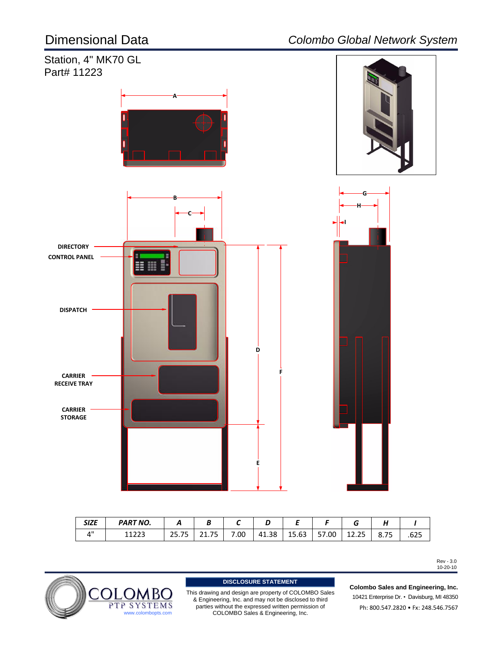

| <b>SIZE</b>                     | <b>PART NO.</b> |               |                                   |      |       |       |       |                       | . .           |             |
|---------------------------------|-----------------|---------------|-----------------------------------|------|-------|-------|-------|-----------------------|---------------|-------------|
| $\mathbf{\Lambda}^{\mathbf{u}}$ | ,,,,,<br>∸∸∠∠J  | n r<br>ر ، رے | --<br><b>O</b> 4<br>76<br>21. I J | 00.' | 41.38 | 15.63 | 57.00 | つに<br>$\sim$<br>12.ZJ | $- -$<br>8.7J | ---<br>ל∠ס. |

Rev - 3.0 10-20-10



This drawing and design are property of COLOMBO Sales & Engineering, Inc. and may not be disclosed to third parties without the expressed written permission of<br>COLOMBO Sales & Engineering, Inc. **DISCLOSURE STATEMENT**<br>Ing and design are property of COLON<br>eering, Inc. and may not be disclosed<br>without the expressed written permis<br>COLOMBO Sales & Engineering, Inc.

10421 Enterprise Dr. • Davisburg, MI 48350 Ph: 800.547.2820 • Fx: 248.546.7567 **Colombo Sales and Engineering, Inc.**